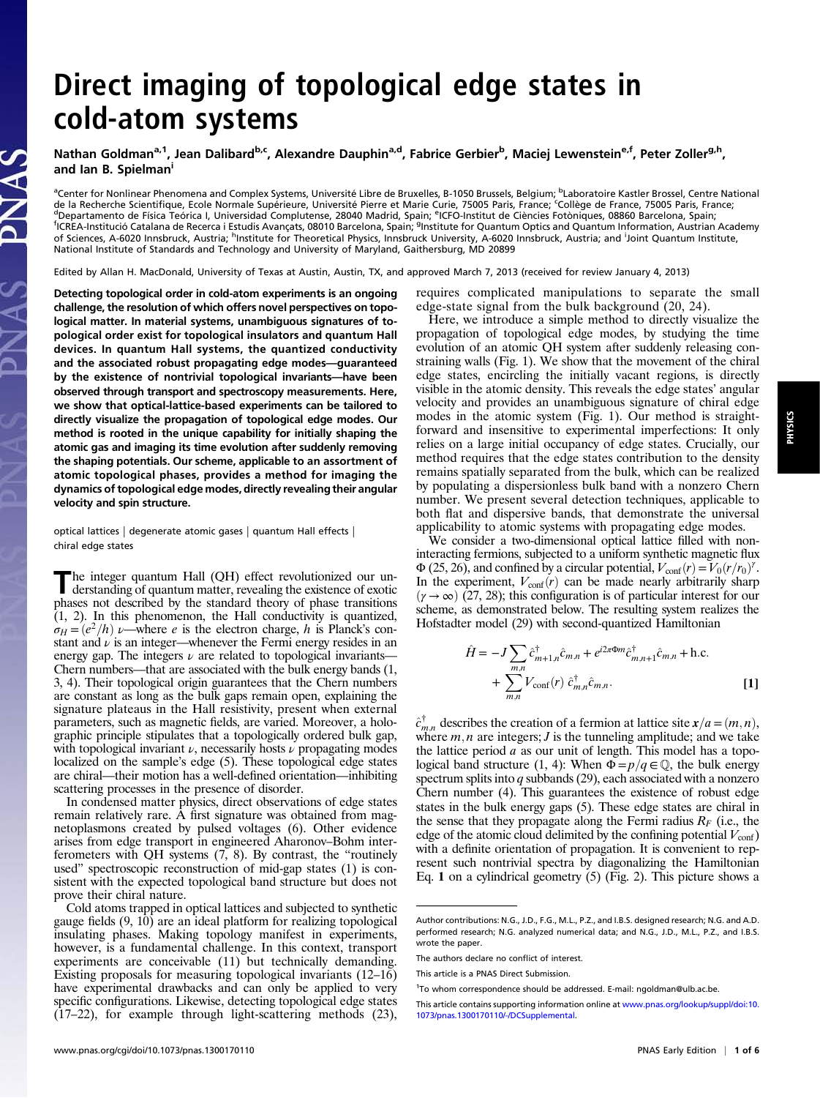## Direct imaging of topological edge states in cold-atom systems

Nathan Goldman<sup>a, 1</sup>, Jean Dalibard<sup>b,c</sup>, Alexandre Dauphin<sup>a,d</sup>, Fabrice Gerbier<sup>b</sup>, Maciej Lewenstein<sup>e,f</sup>, Peter Zoller<sup>g,h</sup>, and Ian B. Spielman<sup>i</sup>

<sup>a</sup>Center for Nonlinear Phenomena and Complex Systems, Université Libre de Bruxelles, B-1050 Brussels, Belgium; <sup>b</sup>Laboratoire Kastler Brossel, Centre National de la Recherche Scientifique, Ecole Normale Supérieure, Université Pierre et Marie Curie, 75005 Paris, France; Collège de France, 75005 Paris, France;<br><sup>d</sup>Denastamento de Física Teórica L. Universidad Complutence, 28040 Mad d<br>Departamento de Física Teórica I, Universidad Complutense, 28040 Madrid, Spain; <sup>e</sup>lCFO-Institut de Ciències Fotòniques, 08860 Barcelona, Spain;<br><sup>1</sup>ICBEA-Institució Catalana de Becerca i Estudis Avancats, 08010 Barcelona ICREA-Institució Catalana de Recerca i Estudis Avançats, 08010 Barcelona, Spain; <sup>g</sup>Institute for Quantum Optics and Quantum Information, Austrian Academy of Sciences, A-6020 Innsbruck, Austria; <sup>h</sup>Institute for Theoretical Physics, Innsbruck University, A-6020 Innsbruck, Austria; and <sup>i</sup>Joint Quantum Institute, National Institute of Standards and Technology and University of Maryland, Gaithersburg, MD 20899

Edited by Allan H. MacDonald, University of Texas at Austin, Austin, TX, and approved March 7, 2013 (received for review January 4, 2013)

Detecting topological order in cold-atom experiments is an ongoing challenge, the resolution of which offers novel perspectives on topological matter. In material systems, unambiguous signatures of topological order exist for topological insulators and quantum Hall devices. In quantum Hall systems, the quantized conductivity and the associated robust propagating edge modes—guaranteed by the existence of nontrivial topological invariants—have been observed through transport and spectroscopy measurements. Here, we show that optical-lattice-based experiments can be tailored to directly visualize the propagation of topological edge modes. Our method is rooted in the unique capability for initially shaping the atomic gas and imaging its time evolution after suddenly removing the shaping potentials. Our scheme, applicable to an assortment of atomic topological phases, provides a method for imaging the dynamics of topological edge modes, directly revealing their angular velocity and spin structure.

PNAS

optical lattices | degenerate atomic gases | quantum Hall effects | chiral edge states

The integer quantum Hall (QH) effect revolutionized our understanding of quantum matter, revealing the existence of exotic phases not described by the standard theory of phase transitions (1, 2). In this phenomenon, the Hall conductivity is quantized,  $\sigma_H = (e^2/h) \nu$ —where e is the electron charge, h is Planck's constant and  $\nu$  is an integer—whenever the Fermi energy resides in an energy gap. The integers  $\nu$  are related to topological invariants-Chern numbers—that are associated with the bulk energy bands (1, 3, 4). Their topological origin guarantees that the Chern numbers are constant as long as the bulk gaps remain open, explaining the signature plateaus in the Hall resistivity, present when external parameters, such as magnetic fields, are varied. Moreover, a holographic principle stipulates that a topologically ordered bulk gap, with topological invariant  $\nu$ , necessarily hosts  $\nu$  propagating modes localized on the sample's edge (5). These topological edge states are chiral—their motion has a well-defined orientation—inhibiting scattering processes in the presence of disorder.

In condensed matter physics, direct observations of edge states remain relatively rare. A first signature was obtained from magnetoplasmons created by pulsed voltages (6). Other evidence arises from edge transport in engineered Aharonov–Bohm interferometers with QH systems (7, 8). By contrast, the "routinely used" spectroscopic reconstruction of mid-gap states (1) is consistent with the expected topological band structure but does not prove their chiral nature.

Cold atoms trapped in optical lattices and subjected to synthetic gauge fields (9, 10) are an ideal platform for realizing topological insulating phases. Making topology manifest in experiments, however, is a fundamental challenge. In this context, transport experiments are conceivable (11) but technically demanding. Existing proposals for measuring topological invariants (12–16) have experimental drawbacks and can only be applied to very specific configurations. Likewise, detecting topological edge states (17–22), for example through light-scattering methods (23),

requires complicated manipulations to separate the small edge-state signal from the bulk background (20, 24).

Here, we introduce a simple method to directly visualize the propagation of topological edge modes, by studying the time evolution of an atomic QH system after suddenly releasing constraining walls (Fig. 1). We show that the movement of the chiral edge states, encircling the initially vacant regions, is directly visible in the atomic density. This reveals the edge states' angular velocity and provides an unambiguous signature of chiral edge modes in the atomic system (Fig. 1). Our method is straightforward and insensitive to experimental imperfections: It only relies on a large initial occupancy of edge states. Crucially, our method requires that the edge states contribution to the density remains spatially separated from the bulk, which can be realized by populating a dispersionless bulk band with a nonzero Chern number. We present several detection techniques, applicable to both flat and dispersive bands, that demonstrate the universal applicability to atomic systems with propagating edge modes.

We consider a two-dimensional optical lattice filled with noninteracting fermions, subjected to a uniform synthetic magnetic flux  $\Phi$  (25, 26), and confined by a circular potential,  $V_{\text{conf}}(r) = V_0(r/r_0)^{\gamma}$ .<br>In the experiment  $V_{\text{conf}}(r)$  can be made nearly arbitrarily sharp In the experiment,  $V_{\text{conf}}(r)$  can be made nearly arbitrarily sharp  $(\gamma \rightarrow \infty)$  (27, 28); this configuration is of particular interest for our scheme, as demonstrated below. The resulting system realizes the Hofstadter model (29) with second-quantized Hamiltonian

$$
\hat{H} = -J \sum_{m,n} \hat{c}_{m+1,n}^{\dagger} \hat{c}_{m,n} + e^{i2\pi \Phi m} \hat{c}_{m,n+1}^{\dagger} \hat{c}_{m,n} + \text{h.c.} \n+ \sum_{m,n} V_{\text{conf}}(r) \hat{c}_{m,n}^{\dagger} \hat{c}_{m,n}.
$$
\n[1]

 $\hat{c}^{\dagger}_{m,n}$  describes the creation of a fermion at lattice site  $x/a = (m, n)$ , where *m n* are integers: *I* is the tunneling amplitude; and we take where  $m, n$  are integers;  $J$  is the tunneling amplitude; and we take the lattice period a as our unit of length. This model has a topological band structure (1, 4): When  $\Phi = p/q \in \mathbb{Q}$ , the bulk energy spectrum splits into  $q$  subbands (29), each associated with a nonzero Chern number (4). This guarantees the existence of robust edge states in the bulk energy gaps (5). These edge states are chiral in the sense that they propagate along the Fermi radius  $R_F$  (i.e., the edge of the atomic cloud delimited by the confining potential  $V_{\text{conf}}$ ) with a definite orientation of propagation. It is convenient to represent such nontrivial spectra by diagonalizing the Hamiltonian Eq. 1 on a cylindrical geometry (5) (Fig. 2). This picture shows a

Author contributions: N.G., J.D., F.G., M.L., P.Z., and I.B.S. designed research; N.G. and A.D. performed research; N.G. analyzed numerical data; and N.G., J.D., M.L., P.Z., and I.B.S. wrote the paper.

The authors declare no conflict of interest.

This article is a PNAS Direct Submission.

<sup>&</sup>lt;sup>1</sup>To whom correspondence should be addressed. E-mail: [ngoldman@ulb.ac.be](mailto:ngoldman@ulb.ac.be).

This article contains supporting information online at [www.pnas.org/lookup/suppl/doi:10.](http://www.pnas.org/lookup/suppl/doi:10.1073/pnas.1300170110/-/DCSupplemental) [1073/pnas.1300170110/-/DCSupplemental](http://www.pnas.org/lookup/suppl/doi:10.1073/pnas.1300170110/-/DCSupplemental).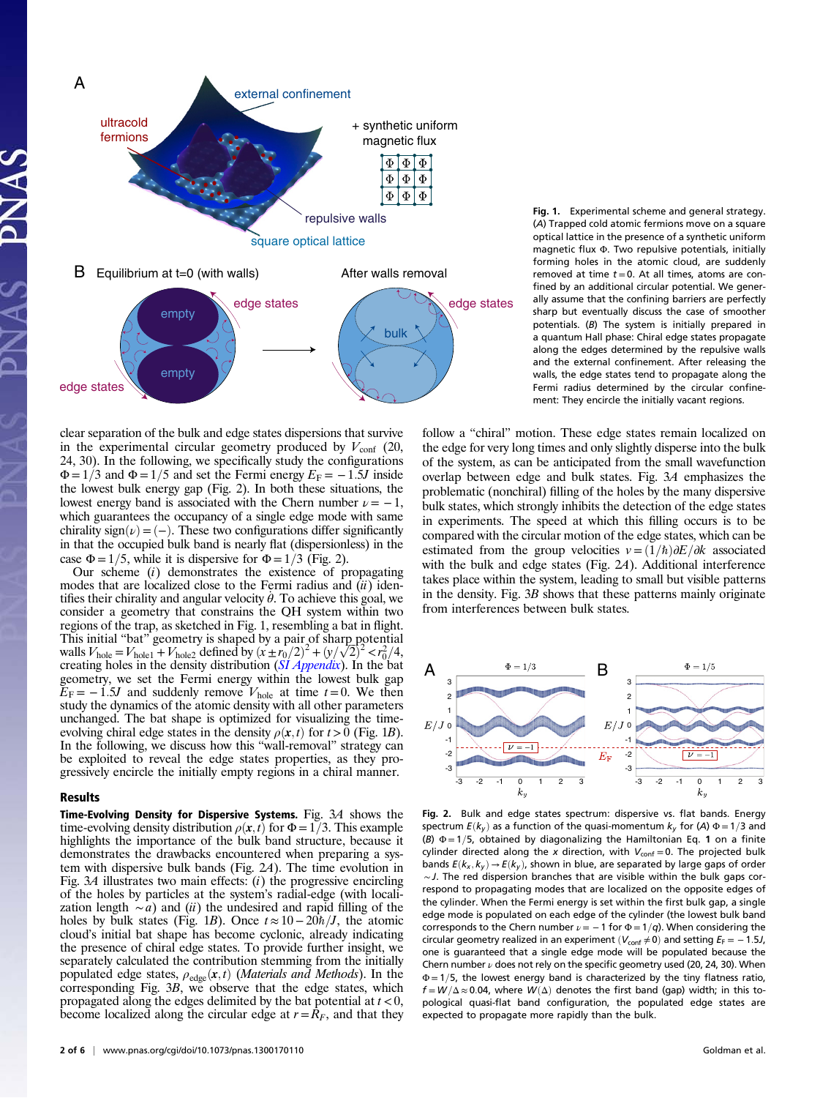

clear separation of the bulk and edge states dispersions that survive in the experimental circular geometry produced by  $V_{\text{conf}}$  (20, 24, 30). In the following, we specifically study the configurations  $\Phi = 1/3$  and  $\Phi = 1/5$  and set the Fermi energy  $E_F = -1.5J$  inside the lowest bulk energy gap (Fig. 2). In both these situations, the lowest energy band is associated with the Chern number  $\nu = -1$ , which guarantees the occupancy of a single edge mode with same chirality sign $(\nu) = (-)$ . These two configurations differ significantly in that the occupied bulk band is nearly flat (dispersionless) in the case  $\Phi = 1/5$ , while it is dispersive for  $\Phi = 1/3$  (Fig. 2).

Our scheme  $(i)$  demonstrates the existence of propagating modes that are localized close to the Fermi radius and  $(ii)$  identifies their chirality and angular velocity  $\dot{\theta}$ . To achieve this goal, we consider a geometry that constrains the QH system within two regions of the trap, as sketched in Fig. 1, resembling a bat in flight. This initial "bat" geometry is shaped by a pair of sharp potential walls  $V_{\text{hole}} = V_{\text{hole1}} + V_{\text{hole2}}$  defined by  $(x \pm r_0/2)^2 + (y/\sqrt{2})^2 < r_0^2/4$ ,<br>creating holes in the density distribution *(SI Appendix*). In the bat creating holes in the density distribution ([SI Appendix](http://www.pnas.org/lookup/suppl/doi:10.1073/pnas.1300170110/-/DCSupplemental/sapp.pdf)). In the bat geometry, we set the Fermi energy within the lowest bulk gap  $E_F = -1.5J$  and suddenly remove  $V_{\text{hole}}$  at time  $t = 0$ . We then study the dynamics of the atomic density with all other parameters unchanged. The bat shape is optimized for visualizing the timeevolving chiral edge states in the density  $\rho(\mathbf{x}, t)$  for  $t > 0$  (Fig. 1B). In the following, we discuss how this "wall-removal" strategy can be exploited to reveal the edge states properties, as they progressively encircle the initially empty regions in a chiral manner.

## Results

Time-Evolving Density for Dispersive Systems. Fig. 3A shows the time-evolving density distribution  $\rho(\mathbf{x}, t)$  for  $\Phi = 1/3$ . This example highlights the importance of the bulk band structure, because it demonstrates the drawbacks encountered when preparing a system with dispersive bulk bands (Fig. 2A). The time evolution in Fig.  $3A$  illustrates two main effects: (i) the progressive encircling of the holes by particles at the system's radial-edge (with localization length  $\sim a$ ) and (ii) the undesired and rapid filling of the holes by bulk states (Fig. 1B). Once  $t \approx 10-20\frac{h}{J}$ , the atomic cloud's initial bat shape has become cyclonic, already indicating the presence of chiral edge states. To provide further insight, we separately calculated the contribution stemming from the initially populated edge states,  $\rho_{\text{edge}}(x, t)$  (Materials and Methods). In the corresponding Fig. 3B, we observe that the edge states, which propagated along the edges delimited by the bat potential at  $t < 0$ , become localized along the circular edge at  $r = R_F$ , and that they

Fig. 1. Experimental scheme and general strategy. (A) Trapped cold atomic fermions move on a square optical lattice in the presence of a synthetic uniform magnetic flux Φ. Two repulsive potentials, initially forming holes in the atomic cloud, are suddenly removed at time  $t = 0$ . At all times, atoms are confined by an additional circular potential. We generally assume that the confining barriers are perfectly sharp but eventually discuss the case of smoother potentials. (B) The system is initially prepared in a quantum Hall phase: Chiral edge states propagate along the edges determined by the repulsive walls and the external confinement. After releasing the walls, the edge states tend to propagate along the Fermi radius determined by the circular confinement: They encircle the initially vacant regions.

follow a "chiral" motion. These edge states remain localized on the edge for very long times and only slightly disperse into the bulk of the system, as can be anticipated from the small wavefunction overlap between edge and bulk states. Fig. 3A emphasizes the problematic (nonchiral) filling of the holes by the many dispersive bulk states, which strongly inhibits the detection of the edge states in experiments. The speed at which this filling occurs is to be compared with the circular motion of the edge states, which can be estimated from the group velocities  $v = (1/h)\partial E/\partial k$  associated with the bulk and edge states (Fig. 2A). Additional interference takes place within the system, leading to small but visible patterns in the density. Fig. 3B shows that these patterns mainly originate from interferences between bulk states.



Fig. 2. Bulk and edge states spectrum: dispersive vs. flat bands. Energy spectrum  $E(k_y)$  as a function of the quasi-momentum  $k_y$  for (A)  $\Phi = 1/3$  and (B)  $\Phi = 1/5$ , obtained by diagonalizing the Hamiltonian Eq. 1 on a finite cylinder directed along the x direction, with  $V_{\text{conf}} = 0$ . The projected bulk bands  $E(k_x, k_y) \rightarrow E(k_y)$ , shown in blue, are separated by large gaps of order ∼J. The red dispersion branches that are visible within the bulk gaps correspond to propagating modes that are localized on the opposite edges of the cylinder. When the Fermi energy is set within the first bulk gap, a single edge mode is populated on each edge of the cylinder (the lowest bulk band corresponds to the Chern number  $\nu = -1$  for  $\Phi = 1/q$ . When considering the circular geometry realized in an experiment  $(V_{conf} \neq 0)$  and setting  $E_F = -1.5J$ , one is guaranteed that a single edge mode will be populated because the Chern number  $\nu$  does not rely on the specific geometry used (20, 24, 30). When  $\Phi$  = 1/5, the lowest energy band is characterized by the tiny flatness ratio,  $f = W/\Delta \approx 0.04$ , where  $W(\Delta)$  denotes the first band (gap) width; in this topological quasi-flat band configuration, the populated edge states are expected to propagate more rapidly than the bulk.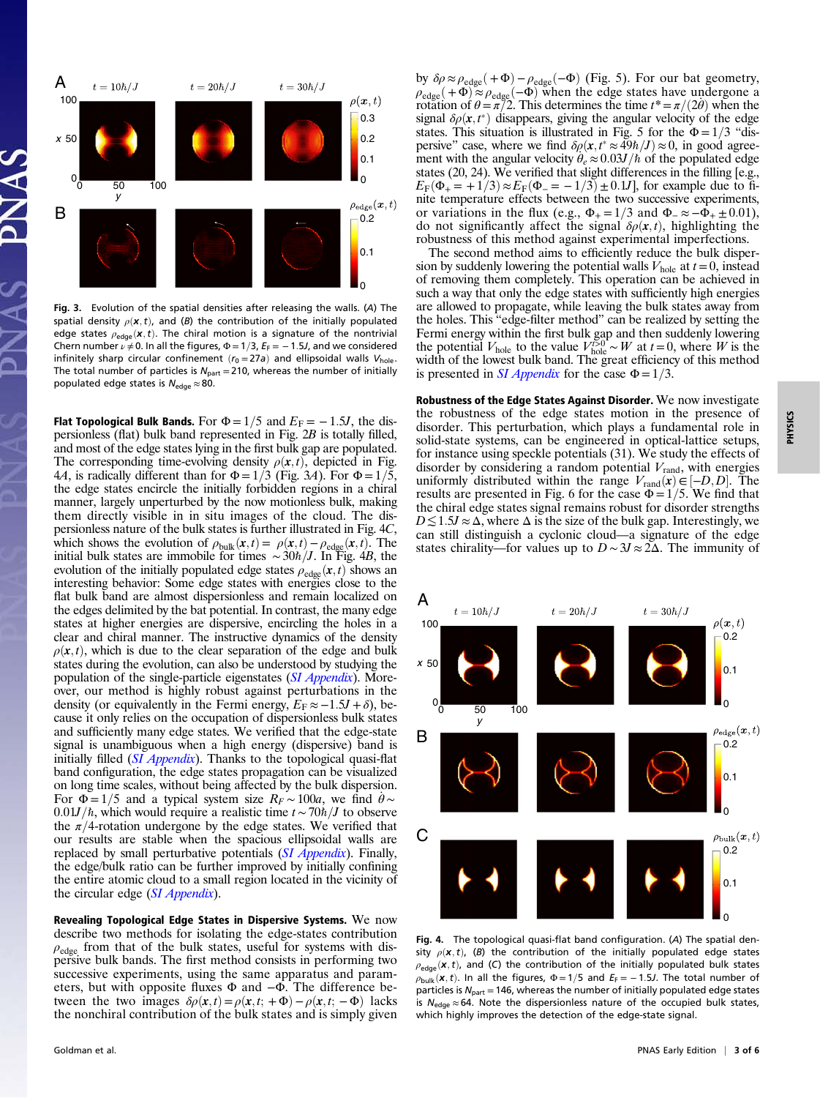

Fig. 3. Evolution of the spatial densities after releasing the walls. (A) The spatial density  $\rho(\mathbf{x},t)$ , and (B) the contribution of the initially populated edge states  $\rho_{\text{edge}}(\mathbf{x},t)$ . The chiral motion is a signature of the nontrivial Chern number  $\nu \neq 0$ . In all the figures,  $\Phi = 1/3$ ,  $E_F = -1.5J$ , and we considered infinitely sharp circular confinement  $(r_0 = 27a)$  and ellipsoidal walls  $V_{hole}$ . The total number of particles is  $N_{part} = 210$ , whereas the number of initially populated edge states is  $N_{\text{edge}} \approx 80$ .

**Flat Topological Bulk Bands.** For  $\Phi = 1/5$  and  $E_F = -1.5J$ , the dispersionless (flat) bulk band represented in Fig. 2B is totally filled, and most of the edge states lying in the first bulk gap are populated. The corresponding time-evolving density  $\rho(\mathbf{x}, t)$ , depicted in Fig. 44, is radically different than for  $\Phi = 1/3$  (Fig. 34). For  $\Phi = 1/5$ , the edge states encircle the initially forbidden regions in a chiral manner, largely unperturbed by the now motionless bulk, making them directly visible in in situ images of the cloud. The dispersionless nature of the bulk states is further illustrated in Fig. 4C, which shows the evolution of  $\rho_{bulk}(x, t) = \rho(x, t) - \rho_{edge}(x, t)$ . The initial bulk states are immobile for times ~  $30\hbar/J$ . In Fig. 4B, the evolution of the initially populated edge states  $\rho_{\text{edge}}(\mathbf{x}, t)$  shows an interesting behavior: Some edge states with energies close to the flat bulk band are almost dispersionless and remain localized on the edges delimited by the bat potential. In contrast, the many edge states at higher energies are dispersive, encircling the holes in a clear and chiral manner. The instructive dynamics of the density  $\rho(\mathbf{x}, t)$ , which is due to the clear separation of the edge and bulk states during the evolution, can also be understood by studying the population of the single-particle eigenstates ([SI Appendix](http://www.pnas.org/lookup/suppl/doi:10.1073/pnas.1300170110/-/DCSupplemental/sapp.pdf)). Moreover, our method is highly robust against perturbations in the density (or equivalently in the Fermi energy,  $E_F \approx -1.5J + \delta$ ), because it only relies on the occupation of dispersionless bulk states and sufficiently many edge states. We verified that the edge-state signal is unambiguous when a high energy (dispersive) band is initially filled  $(SI$  *Appendix*). Thanks to the topological quasi-flat band configuration, the edge states propagation can be visualized on long time scales, without being affected by the bulk dispersion. For  $\Phi = 1/5$  and a typical system size  $R_F \sim 100a$ , we find  $\dot{\theta} \sim$  $0.01J/\hbar$ , which would require a realistic time  $t \sim 70\hbar/J$  to observe the  $\pi/4$ -rotation undergone by the edge states. We verified that our results are stable when the spacious ellipsoidal walls are replaced by small perturbative potentials  $(SI$  *Appendix*). Finally, the edge/bulk ratio can be further improved by initially confining the entire atomic cloud to a small region located in the vicinity of the circular edge ([SI Appendix](http://www.pnas.org/lookup/suppl/doi:10.1073/pnas.1300170110/-/DCSupplemental/sapp.pdf)).

Revealing Topological Edge States in Dispersive Systems. We now describe two methods for isolating the edge-states contribution  $\rho_{\text{edge}}$  from that of the bulk states, useful for systems with dispersive bulk bands. The first method consists in performing two successive experiments, using the same apparatus and parameters, but with opposite fluxes Φ and −Φ. The difference between the two images  $\delta \rho(x,t) = \rho(x,t; +\Phi) - \rho(x,t; -\Phi)$  lacks the nonchiral contribution of the bulk states and is simply given

by δρ≈ρ<sub>edge</sub> $(+\Phi) - \rho_{\text{edge}}(-\Phi)$  (Fig. 5). For our bat geometry,<br>*o*-a-(+Φ)≈ *o*-a-(-Φ) when the edge states have undergone a  $\rho_{\text{edge}}$ (+ $\Phi$ ) $\approx \rho_{\text{edge}}$  (- $\Phi$ ) when the edge states have undergone a rotation of  $\theta = \pi/2$ . This determines the time  $t^* = \pi/(2\theta)$  when the signal  $\delta \rho(\mathbf{x}, t^*)$  disappears, giving the angular velocity of the edge signal  $\delta \rho(\mathbf{x}, t^*)$  disappears, giving the angular velocity of the edge states. This situation is illustrated in Fig. 5 for the  $\Phi = 1/3$  "dispersive" case, where we find  $\delta \rho(x, t^* \approx 49\hbar/J) \approx 0$ , in good agreement with the angular velocity  $\theta_e \approx 0.03J/\hbar$  of the populated edge states (20, 24). We verified that slight differences in the filling [e.g.,  $E_{\rm F}(\Phi_+ = +1/3) \approx E_{\rm F}(\Phi_- = -1/3) \pm 0.1J$ , for example due to finite temperature effects between the two successive experiments, or variations in the flux (e.g.,  $\Phi_+ = 1/3$  and  $\Phi_- \approx -\Phi_+ \pm 0.01$ ), do not significantly affect the signal  $\delta \rho(\mathbf{x}, t)$ , highlighting the robustness of this method against experimental imperfections.

The second method aims to efficiently reduce the bulk dispersion by suddenly lowering the potential walls  $V_{\text{hole}}$  at  $t = 0$ , instead of removing them completely. This operation can be achieved in such a way that only the edge states with sufficiently high energies are allowed to propagate, while leaving the bulk states away from the holes. This "edge-filter method" can be realized by setting the Fermi energy within the first bulk gap and then suddenly lowering the potential  $V_{\text{hole}}$  to the value  $V_{\text{hole}}^{\cancel{50}^{\text{t}}} \sim W$  at  $t = 0$ , where W is the width of the lowest bulk band. The great efficiency of this method is presented in *[SI Appendix](http://www.pnas.org/lookup/suppl/doi:10.1073/pnas.1300170110/-/DCSupplemental/sapp.pdf)* for the case  $\Phi = 1/3$ .

Robustness of the Edge States Against Disorder. We now investigate the robustness of the edge states motion in the presence of disorder. This perturbation, which plays a fundamental role in solid-state systems, can be engineered in optical-lattice setups, for instance using speckle potentials (31). We study the effects of disorder by considering a random potential  $V_{\text{rand}}$ , with energies uniformly distributed within the range  $V_{\text{rand}}(x) \in [-D, D]$ . The results are presented in Fig. 6 for the case  $\Phi = 1/5$ . We find that results are presented in Fig. 6 for the case  $\Phi = 1/5$ . We find that the chiral edge states signal remains robust for disorder strengths  $D\leq 1.5J \approx \Delta$ , where  $\Delta$  is the size of the bulk gap. Interestingly, we can still distinguish a cyclonic cloud—a signature of the edge states chirality—for values up to  $D \sim 3J \approx 2\Delta$ . The immunity of



Fig. 4. The topological quasi-flat band configuration. (A) The spatial density  $\rho(\mathbf{x},t)$ , (B) the contribution of the initially populated edge states  $\rho_{\text{edge}}(\mathbf{x},t)$ , and (C) the contribution of the initially populated bulk states  $\rho_{\text{bulk}}(\mathbf{x},t)$ . In all the figures,  $\Phi = 1/5$  and  $E_F = -1.5J$ . The total number of particles is  $N_{part}$  = 146, whereas the number of initially populated edge states is  $N_{\text{edge}} \approx 64$ . Note the dispersionless nature of the occupied bulk states, which highly improves the detection of the edge-state signal.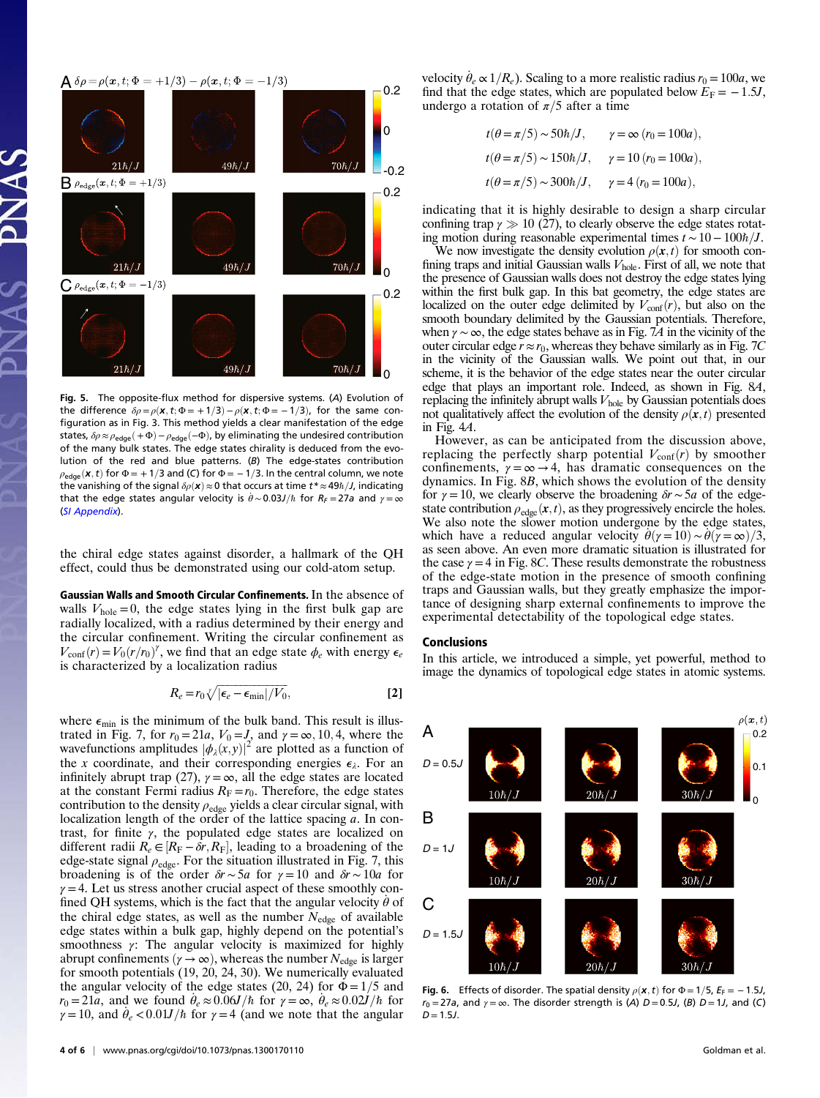

Fig. 5. The opposite-flux method for dispersive systems. (A) Evolution of the difference  $\delta \rho = \rho(\mathbf{x}, t; \Phi = +1/3) - \rho(\mathbf{x}, t; \Phi = -1/3)$ , for the same configuration as in Fig. 3. This method yields a clear manifestation of the edge states,  $\delta\rho$  ≈ $\rho_{\sf edge}(+\Phi)-\rho_{\sf edge}(-\Phi)$ , by eliminating the undesired contribution of the many bulk states. The edge states chirality is deduced from the evolution of the red and blue patterns. (B) The edge-states contribution  $\rho_{\text{edge}}(\mathbf{x},t)$  for  $\Phi = +1/3$  and (C) for  $\Phi = -1/3$ . In the central column, we note the vanishing of the signal  $\delta\rho(\mathbf{x})\approx0$  that occurs at time  $t^*\approx49\hbar/J$ , indicating that the edge states angular velocity is  $\dot\theta\,{\sim}\,0.03$ J/ $\hbar$  for R $_{F}$   $=$  27a and  $\gamma$   $=$   $\infty$ ([SI Appendix](http://www.pnas.org/lookup/suppl/doi:10.1073/pnas.1300170110/-/DCSupplemental/sapp.pdf)).

the chiral edge states against disorder, a hallmark of the QH effect, could thus be demonstrated using our cold-atom setup.

Gaussian Walls and Smooth Circular Confinements. In the absence of walls  $V_{\text{hole}} = 0$ , the edge states lying in the first bulk gap are radially localized, with a radius determined by their energy and the circular confinement. Writing the circular confinement as  $V_{\text{conf}}(r) = V_0(r/r_0)^{\gamma}$ , we find that an edge state  $\phi_e$  with energy  $\epsilon_e$  is characterized by a localization radius is characterized by a localization radius

$$
R_e = r_0 \sqrt[3]{|\epsilon_e - \epsilon_{\min}|/V_0},\tag{2}
$$

where  $\epsilon_{\min}$  is the minimum of the bulk band. This result is illustrated in Fig. 7, for  $r_0 = 21a$ ,  $V_0 = J$ , and  $\gamma = \infty$ , 10, 4, where the wavefunctions amplitudes  $|\phi_{\lambda}(x,y)|^2$  are plotted as a function of the x coordinate, and their corresponding energies  $\epsilon_{\lambda}$ . For an infinitely abrupt trap (27),  $\gamma = \infty$ , all the edge states are located at the constant Fermi radius  $R_F = r_0$ . Therefore, the edge states contribution to the density  $\rho_{\text{edge}}$  yields a clear circular signal, with localization length of the order of the lattice spacing a. In contrast, for finite  $\gamma$ , the populated edge states are localized on different radii  $R_e \in [R_F - \delta r, R_F]$ , leading to a broadening of the edge-state signal  $\rho$ . For the situation illustrated in Fig. 7, this edge-state signal  $\rho_{\text{edge}}$ . For the situation illustrated in Fig. 7, this broadening is of the order  $\delta r \sim 5a$  for  $\gamma = 10$  and  $\delta r \sim 10a$  for  $\gamma = 4$ . Let us stress another crucial aspect of these smoothly confined QH systems, which is the fact that the angular velocity  $\dot{\theta}$  of the chiral edge states, as well as the number  $N_{\text{edge}}$  of available edge states within a bulk gap, highly depend on the potential's smoothness  $\gamma$ : The angular velocity is maximized for highly abrupt confinements ( $\gamma \rightarrow \infty$ ), whereas the number  $N_{\text{edge}}$  is larger for smooth potentials (19, 20, 24, 30). We numerically evaluated the angular velocity of the edge states (20, 24) for  $\Phi = 1/5$  and  $r_0 = 21a$ , and we found  $\dot{\theta}_e \approx 0.06J/\hbar$  for  $\gamma = \infty$ ,  $\dot{\theta}_e \approx 0.02J/\hbar$  for  $\gamma = 10$ , and  $\dot{\theta}_e < 0.01J/\hbar$  for  $\gamma = 4$  (and we note that the angular

velocity  $\dot{\theta}_e \propto 1/R_e$ ). Scaling to a more realistic radius  $r_0 = 100a$ , we find that the edge states, which are populated below  $E_F = -1.5J$ , undergo a rotation of  $\pi/5$  after a time

$$
t(\theta = \pi/5) \sim 50\hbar/J, \qquad \gamma = \infty \ (r_0 = 100a),
$$
  

$$
t(\theta = \pi/5) \sim 150\hbar/J, \qquad \gamma = 10 \ (r_0 = 100a),
$$
  

$$
t(\theta = \pi/5) \sim 300\hbar/J, \qquad \gamma = 4 \ (r_0 = 100a),
$$

indicating that it is highly desirable to design a sharp circular confining trap  $\gamma \gg 10$  (27), to clearly observe the edge states rotating motion during reasonable experimental times  $t \sim 10-100\hbar/J$ .

We now investigate the density evolution  $\rho(x, t)$  for smooth confining traps and initial Gaussian walls  $V_{hole}$ . First of all, we note that the presence of Gaussian walls does not destroy the edge states lying within the first bulk gap. In this bat geometry, the edge states are localized on the outer edge delimited by  $V_{\text{conf}}(r)$ , but also on the smooth boundary delimited by the Gaussian potentials. Therefore, when  $\gamma \sim \infty$ , the edge states behave as in Fig. 7A in the vicinity of the outer circular edge  $r \approx r_0$ , whereas they behave similarly as in Fig. 7C in the vicinity of the Gaussian walls. We point out that, in our scheme, it is the behavior of the edge states near the outer circular edge that plays an important role. Indeed, as shown in Fig. 8A, replacing the infinitely abrupt walls  $V_{\text{hole}}$  by Gaussian potentials does not qualitatively affect the evolution of the density  $\rho(x, t)$  presented in Fig. 4A.

However, as can be anticipated from the discussion above, replacing the perfectly sharp potential  $V_{\text{conf}}(r)$  by smoother confinements,  $\gamma = \infty \rightarrow 4$ , has dramatic consequences on the dynamics. In Fig. 8B, which shows the evolution of the density for  $\gamma = 10$ , we clearly observe the broadening  $\delta r \sim 5a$  of the edgestate contribution  $\rho_{\text{edge}}(x, t)$ , as they progressively encircle the holes. We also note the slower motion undergone by the edge states, which have a reduced angular velocity  $\dot{\theta}(\gamma = 10) \sim \dot{\theta}(\gamma = \infty)/3$ , as seen above. An even more dramatic situation is illustrated for as seen above. An even more dramatic situation is illustrated for the case  $\gamma = 4$  in Fig. 8C. These results demonstrate the robustness of the edge-state motion in the presence of smooth confining traps and Gaussian walls, but they greatly emphasize the importance of designing sharp external confinements to improve the experimental detectability of the topological edge states.

## Conclusions

In this article, we introduced a simple, yet powerful, method to image the dynamics of topological edge states in atomic systems.



Fig. 6. Effects of disorder. The spatial density  $\rho(\mathbf{x},t)$  for  $\Phi = 1/5$ ,  $E_F = -1.5J$ ,  $r_0 = 27a$ , and  $\gamma = \infty$ . The disorder strength is (A)  $D = 0.5J$ , (B)  $D = 1J$ , and (C)  $D = 1.5J$ .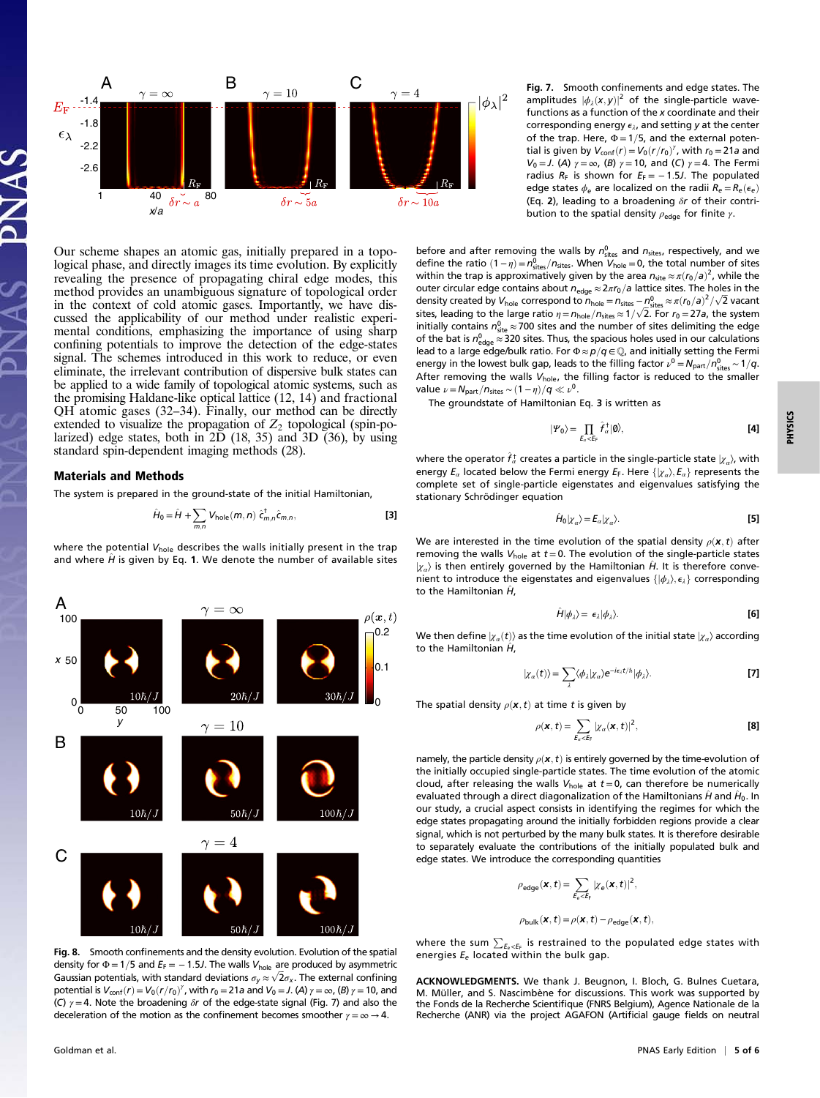

Our scheme shapes an atomic gas, initially prepared in a topological phase, and directly images its time evolution. By explicitly revealing the presence of propagating chiral edge modes, this method provides an unambiguous signature of topological order in the context of cold atomic gases. Importantly, we have discussed the applicability of our method under realistic experimental conditions, emphasizing the importance of using sharp confining potentials to improve the detection of the edge-states signal. The schemes introduced in this work to reduce, or even eliminate, the irrelevant contribution of dispersive bulk states can be applied to a wide family of topological atomic systems, such as the promising Haldane-like optical lattice (12, 14) and fractional QH atomic gases (32–34). Finally, our method can be directly extended to visualize the propagation of  $Z_2$  topological (spin-polarized) edge states, both in 2D (18, 35) and 3D (36), by using standard spin-dependent imaging methods (28).

## Materials and Methods

The system is prepared in the ground-state of the initial Hamiltonian,

$$
\hat{H}_0 = \hat{H} + \sum_{m,n} V_{\text{hole}}(m,n) \hat{c}_{m,n}^{\dagger} \hat{c}_{m,n},
$$
\n[3]

where the potential  $V_{hole}$  describes the walls initially present in the trap and where  $\hat{H}$  is given by Eq. 1. We denote the number of available sites



Fig. 8. Smooth confinements and the density evolution. Evolution of the spatial density for  $\Phi = 1/5$  and  $E_F = -1.5J$ . The walls  $V_{hole}$  are produced by asymmetric Gaussian potentials, with standard deviations  $\sigma_y \approx \sqrt{2} \sigma_x$ . The external confining potential is  $V_{\text{conf}}(r) = V_0(r/r_0)^{\gamma}$ , with  $r_0 = 21a$  and  $V_0 = J$ . (A)  $\gamma = \infty$ , (B)  $\gamma = 10$ , and  $\gamma = 4$ , Note the broadening  $\delta r$  of the edge state signal (Fig. 7) and also the (C)  $\gamma$  = 4. Note the broadening  $\delta r$  of the edge-state signal (Fig. 7) and also the deceleration of the motion as the confinement becomes smoother  $\gamma = \infty \rightarrow 4$ .

amplitudes  $|\phi_{\lambda}(x, y)|^2$  of the single-particle wavefunctions as a function of the x coordinate and their corresponding energy  $\epsilon_{\lambda}$ , and setting y at the center of the trap. Here,  $\Phi = 1/5$ , and the external potential is given by  $V_{\text{conf}}(r) = V_0(r/r_0)^{\gamma}$ , with  $r_0 = 21a$  and  $V_0 = I_0(\Delta)$  with r<sub>0</sub> = 21a and  $V_0 = J$ . (A)  $\gamma = \infty$ , (B)  $\gamma = 10$ , and (C)  $\gamma = 4$ . The Fermi radius  $R_F$  is shown for  $E_F = -1.5J$ . The populated edge states  $\phi_e$  are localized on the radii  $R_e = R_e(\epsilon_e)$ (Eq. 2), leading to a broadening  $\delta r$  of their contribution to the spatial density  $\rho_{\text{edge}}$  for finite  $\gamma$ .

before and after removing the walls by  $n_{\text{sites}}^0$  and  $n_{\text{sites}}$ , respectively, and we define the ratio  $(1 - \eta) = n_{\text{sites}}^0/n_{\text{sites}}$ . When  $V_{\text{hole}} = 0$ , the total number of sites<br>within the tran is approximatively given by the area  $p_{\text{max}}(r, \lambda)^2$ , while the within the trap is approximatively given by the area  $n_{\text{site}} \approx \pi (r_0/a)^2$ , while the autor circular odge contains about  $n_{\text{core}} \approx 2 \pi r / 2$  lattice sites. The belos in the outer circular edge contains about  $n_{\text{edge}} \approx 2\pi r_0/a$  lattice sites. The holes in the density created by  $V_{\sf hole}$  correspond to  $n_{\sf hole}=n_{\sf sites}-n_{\sf sites}^0 \propto \pi (r_0/a)^2/\sqrt{2}$  vacant<br>sites, leading to the large ratio  $\eta$  =  $n_{\sf hole}/n_{\sf sites} \approx 1/\sqrt{2}$ . For  $r_0$  = 27a, the system initially contains  $n_{\text{site}}^0 \approx$  700 sites and the number of sites delimiting the edge of the bat is  $n_{\text{edge}}^0 \approx 320$  sites. Thus, the spacious holes used in our calculations lead to a large edge/bulk ratio. For  $\Phi \approx p/q \in \mathbb{Q}$ , and initially setting the Fermi energy in the lowest bulk gap, leads to the filling factor  $\nu^0 = N_\text{part}/n_\text{sites}^0 \sim 1/q.$ After removing the walls  $V_{hole}$ , the filling factor is reduced to the smaller value  $\nu = N_{part}/n_{sites} \sim (1 - \eta)/q \ll \nu^0$ .

The groundstate of Hamiltonian Eq. 3 is written as

$$
|\Psi_0\rangle = \prod_{E_\alpha < E_\text{F}} \hat{f}_\alpha^\dagger |0\rangle,\tag{4}
$$

where the operator  $\hat{f}^{\dagger}_{\alpha}$  creates a particle in the single-particle state  $|\chi_{\alpha}\rangle$ , with approximate both  $\alpha$  begins a particle state  $|\chi_{\alpha}\rangle$ , with energy  $E_\alpha$  located below the Fermi energy  $E_F$ . Here  $\{|\chi_\alpha\rangle, E_\alpha\}$  represents the complete set of single-particle eigenstates and eigenvalues satisfying the stationary Schrödinger equation

$$
\hat{H}_0|\chi_\alpha\rangle = E_\alpha|\chi_\alpha\rangle.
$$
 [5]

We are interested in the time evolution of the spatial density  $\rho(\mathbf{x},t)$  after removing the walls  $V_{hole}$  at  $t = 0$ . The evolution of the single-particle states  $|\chi_{\alpha}\rangle$  is then entirely governed by the Hamiltonian  $\hat{H}$ . It is therefore convenient to introduce the eigenstates and eigenvalues  $\{|\phi_\lambda\rangle, \epsilon_\lambda\}$  corresponding to the Hamiltonian  $\hat{H}$ .

$$
\hat{H}|\phi_{\lambda}\rangle = \epsilon_{\lambda}|\phi_{\lambda}\rangle.
$$
 [6]

We then define  $|\chi_a(t)\rangle$  as the time evolution of the initial state  $|\chi_a\rangle$  according to the Hamiltonian  $\hat{H}$ ,

$$
|\chi_a(t)\rangle = \sum_{\lambda} \langle \phi_{\lambda} | \chi_a \rangle e^{-i\epsilon_{\lambda}t/\hbar} | \phi_{\lambda} \rangle.
$$
 [7]

The spatial density  $\rho(\mathbf{x},t)$  at time t is given by

$$
\rho(\mathbf{x},t) = \sum_{E_a \le E_t} |\chi_a(\mathbf{x},t)|^2,
$$
 [8]

namely, the particle density  $\rho({\bf x},t)$  is entirely governed by the time-evolution of the initially occupied single-particle states. The time evolution of the atomic cloud, after releasing the walls  $V_{hole}$  at  $t = 0$ , can therefore be numerically evaluated through a direct diagonalization of the Hamiltonians  $\hat{H}$  and  $\hat{H}_0$ . In our study, a crucial aspect consists in identifying the regimes for which the edge states propagating around the initially forbidden regions provide a clear signal, which is not perturbed by the many bulk states. It is therefore desirable to separately evaluate the contributions of the initially populated bulk and edge states. We introduce the corresponding quantities

$$
\rho_{\text{edge}}(\textbf{x},t) = \sum_{\textbf{E}_\text{e} < \textbf{E}_\text{F}} |\chi_\text{e}(\textbf{x},t)|^2,
$$

$$
\rho_{\sf bulk}({\bf x},t)\!=\!\rho({\bf x},t)-\rho_{\sf edge}({\bf x},t),
$$

where the sum  $\sum_{\pmb{E}_{\pmb{e}} < \pmb{E}_{\pmb{e}}}$  is restrained to the populated edge states with<br>energies  $\pmb{E}_{\pmb{e}}$  located within the bulk gap.

ACKNOWLEDGMENTS. We thank J. Beugnon, I. Bloch, G. Bulnes Cuetara, M. Müller, and S. Nascimbène for discussions. This work was supported by the Fonds de la Recherche Scientifique (FNRS Belgium), Agence Nationale de la Recherche (ANR) via the project AGAFON (Artificial gauge fields on neutral